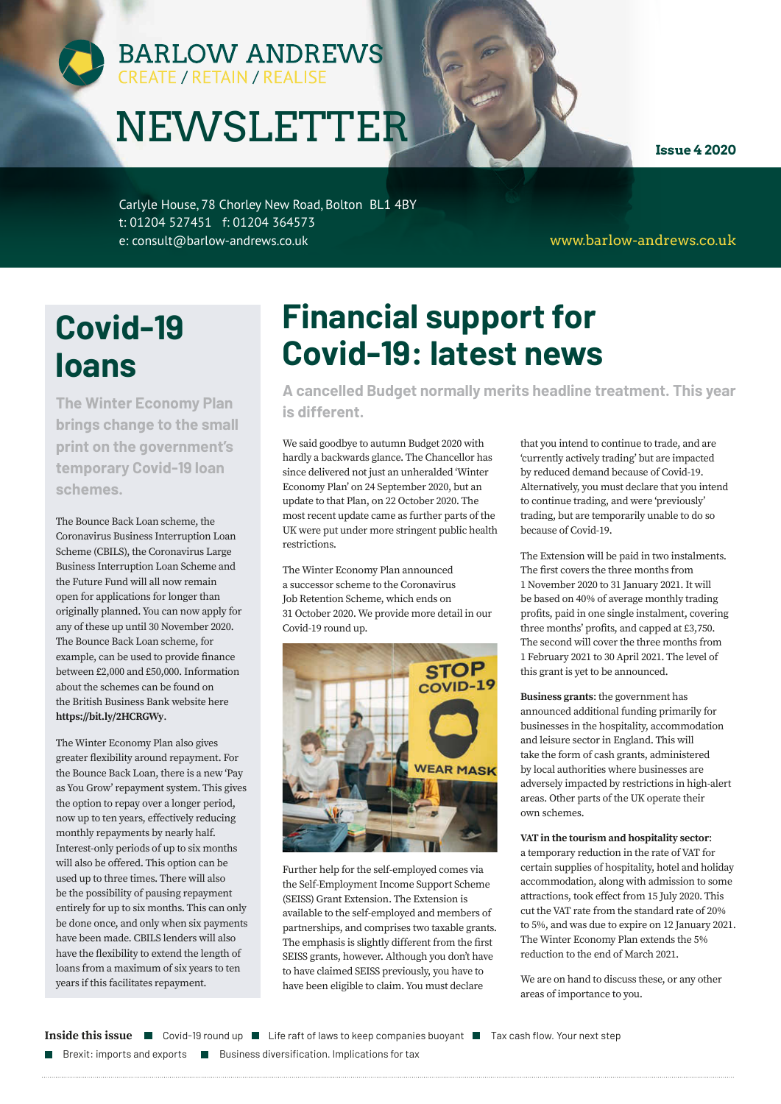# BARLOW ANDREWS

# NEWSLETTER

**Issue 4 2020**

Carlyle House, 78 Chorley New Road, Bolton BL1 4BY t: 01204 527451 f: 01204 364573 e: consult@barlow-andrews.co.uk

www.barlow-andrews.co.uk

# **Covid-19 loans**

**The Winter Economy Plan brings change to the small print on the government's temporary Covid-19 loan schemes.**

The Bounce Back Loan scheme, the Coronavirus Business Interruption Loan Scheme (CBILS), the Coronavirus Large Business Interruption Loan Scheme and the Future Fund will all now remain open for applications for longer than originally planned. You can now apply for any of these up until 30 November 2020. The Bounce Back Loan scheme, for example, can be used to provide finance between £2,000 and £50,000. Information about the schemes can be found on the British Business Bank website here **https://bit.ly/2HCRGWy**.

The Winter Economy Plan also gives greater flexibility around repayment. For the Bounce Back Loan, there is a new 'Pay as You Grow' repayment system. This gives the option to repay over a longer period, now up to ten years, effectively reducing monthly repayments by nearly half. Interest-only periods of up to six months will also be offered. This option can be used up to three times. There will also be the possibility of pausing repayment entirely for up to six months. This can only be done once, and only when six payments have been made. CBILS lenders will also have the flexibility to extend the length of loans from a maximum of six years to ten years if this facilitates repayment.

# **Financial support for Covid-19: latest news**

**A cancelled Budget normally merits headline treatment. This year is different.** 

We said goodbye to autumn Budget 2020 with hardly a backwards glance. The Chancellor has since delivered not just an unheralded 'Winter Economy Plan' on 24 September 2020, but an update to that Plan, on 22 October 2020. The most recent update came as further parts of the UK were put under more stringent public health restrictions.

The Winter Economy Plan announced a successor scheme to the Coronavirus Job Retention Scheme, which ends on 31 October 2020. We provide more detail in our Covid-19 round up.



Further help for the self-employed comes via the Self-Employment Income Support Scheme (SEISS) Grant Extension. The Extension is available to the self-employed and members of partnerships, and comprises two taxable grants. The emphasis is slightly different from the first SEISS grants, however. Although you don't have to have claimed SEISS previously, you have to have been eligible to claim. You must declare

that you intend to continue to trade, and are 'currently actively trading' but are impacted by reduced demand because of Covid-19. Alternatively, you must declare that you intend to continue trading, and were 'previously' trading, but are temporarily unable to do so because of Covid-19.

The Extension will be paid in two instalments. The first covers the three months from 1 November 2020 to 31 January 2021. It will be based on 40% of average monthly trading profits, paid in one single instalment, covering three months' profits, and capped at £3,750. The second will cover the three months from 1 February 2021 to 30 April 2021. The level of this grant is yet to be announced.

**Business grants**: the government has announced additional funding primarily for businesses in the hospitality, accommodation and leisure sector in England. This will take the form of cash grants, administered by local authorities where businesses are adversely impacted by restrictions in high-alert areas. Other parts of the UK operate their own schemes.

#### **VAT in the tourism and hospitality sector**:

a temporary reduction in the rate of VAT for certain supplies of hospitality, hotel and holiday accommodation, along with admission to some attractions, took effect from 15 July 2020. This cut the VAT rate from the standard rate of 20% to 5%, and was due to expire on 12 January 2021. The Winter Economy Plan extends the 5% reduction to the end of March 2021.

We are on hand to discuss these, or any other areas of importance to you.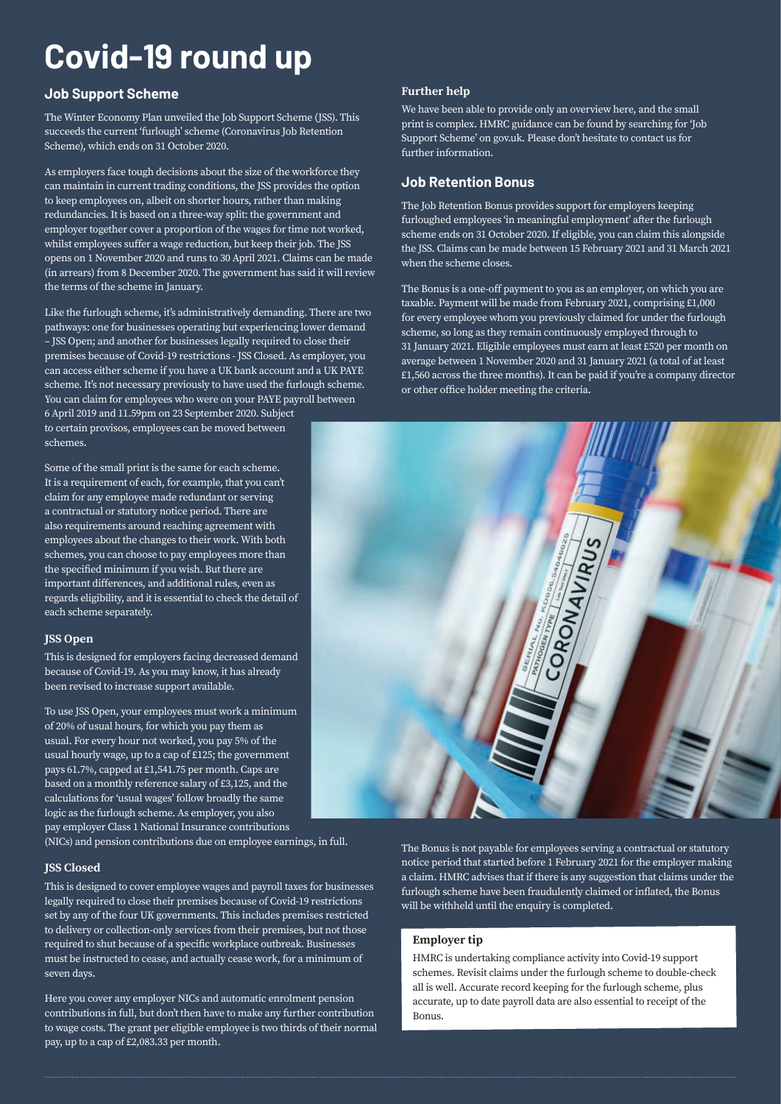# **Covid-19 round up**

#### **Job Support Scheme**

The Winter Economy Plan unveiled the Job Support Scheme (JSS). This succeeds the current 'furlough' scheme (Coronavirus Job Retention Scheme), which ends on 31 October 2020.

As employers face tough decisions about the size of the workforce they can maintain in current trading conditions, the JSS provides the option to keep employees on, albeit on shorter hours, rather than making redundancies. It is based on a three-way split: the government and employer together cover a proportion of the wages for time not worked, whilst employees suffer a wage reduction, but keep their job. The JSS opens on 1 November 2020 and runs to 30 April 2021. Claims can be made (in arrears) from 8 December 2020. The government has said it will review the terms of the scheme in January.

Like the furlough scheme, it's administratively demanding. There are two pathways: one for businesses operating but experiencing lower demand – JSS Open; and another for businesses legally required to close their premises because of Covid-19 restrictions - JSS Closed. As employer, you can access either scheme if you have a UK bank account and a UK PAYE scheme. It's not necessary previously to have used the furlough scheme. You can claim for employees who were on your PAYE payroll between

6 April 2019 and 11.59pm on 23 September 2020. Subject to certain provisos, employees can be moved between schemes.

Some of the small print is the same for each scheme. It is a requirement of each, for example, that you can't claim for any employee made redundant or serving a contractual or statutory notice period. There are also requirements around reaching agreement with employees about the changes to their work. With both schemes, you can choose to pay employees more than the specified minimum if you wish. But there are important differences, and additional rules, even as regards eligibility, and it is essential to check the detail of each scheme separately.

#### **JSS Open**

This is designed for employers facing decreased demand because of Covid-19. As you may know, it has already been revised to increase support available.

To use JSS Open, your employees must work a minimum of 20% of usual hours, for which you pay them as usual. For every hour not worked, you pay 5% of the usual hourly wage, up to a cap of £125; the government pays 61.7%, capped at £1,541.75 per month. Caps are based on a monthly reference salary of £3,125, and the calculations for 'usual wages' follow broadly the same logic as the furlough scheme. As employer, you also pay employer Class 1 National Insurance contributions

(NICs) and pension contributions due on employee earnings, in full.

#### **JSS Closed**

This is designed to cover employee wages and payroll taxes for businesses legally required to close their premises because of Covid-19 restrictions set by any of the four UK governments. This includes premises restricted to delivery or collection-only services from their premises, but not those required to shut because of a specific workplace outbreak. Businesses must be instructed to cease, and actually cease work, for a minimum of seven days.

Here you cover any employer NICs and automatic enrolment pension contributions in full, but don't then have to make any further contribution to wage costs. The grant per eligible employee is two thirds of their normal pay, up to a cap of £2,083.33 per month.

#### **Further help**

We have been able to provide only an overview here, and the small print is complex. HMRC guidance can be found by searching for 'Job Support Scheme' on gov.uk. Please don't hesitate to contact us for further information.

#### **Job Retention Bonus**

The Job Retention Bonus provides support for employers keeping furloughed employees 'in meaningful employment' after the furlough scheme ends on 31 October 2020. If eligible, you can claim this alongside the JSS. Claims can be made between 15 February 2021 and 31 March 2021 when the scheme closes.

The Bonus is a one-off payment to you as an employer, on which you are taxable. Payment will be made from February 2021, comprising £1,000 for every employee whom you previously claimed for under the furlough scheme, so long as they remain continuously employed through to 31 January 2021. Eligible employees must earn at least £520 per month on average between 1 November 2020 and 31 January 2021 (a total of at least £1,560 across the three months). It can be paid if you're a company director or other office holder meeting the criteria.



The Bonus is not payable for employees serving a contractual or statutory notice period that started before 1 February 2021 for the employer making a claim. HMRC advises that if there is any suggestion that claims under the furlough scheme have been fraudulently claimed or inflated, the Bonus will be withheld until the enquiry is completed.

#### **Employer tip**

HMRC is undertaking compliance activity into Covid-19 support schemes. Revisit claims under the furlough scheme to double-check all is well. Accurate record keeping for the furlough scheme, plus accurate, up to date payroll data are also essential to receipt of the Bonus.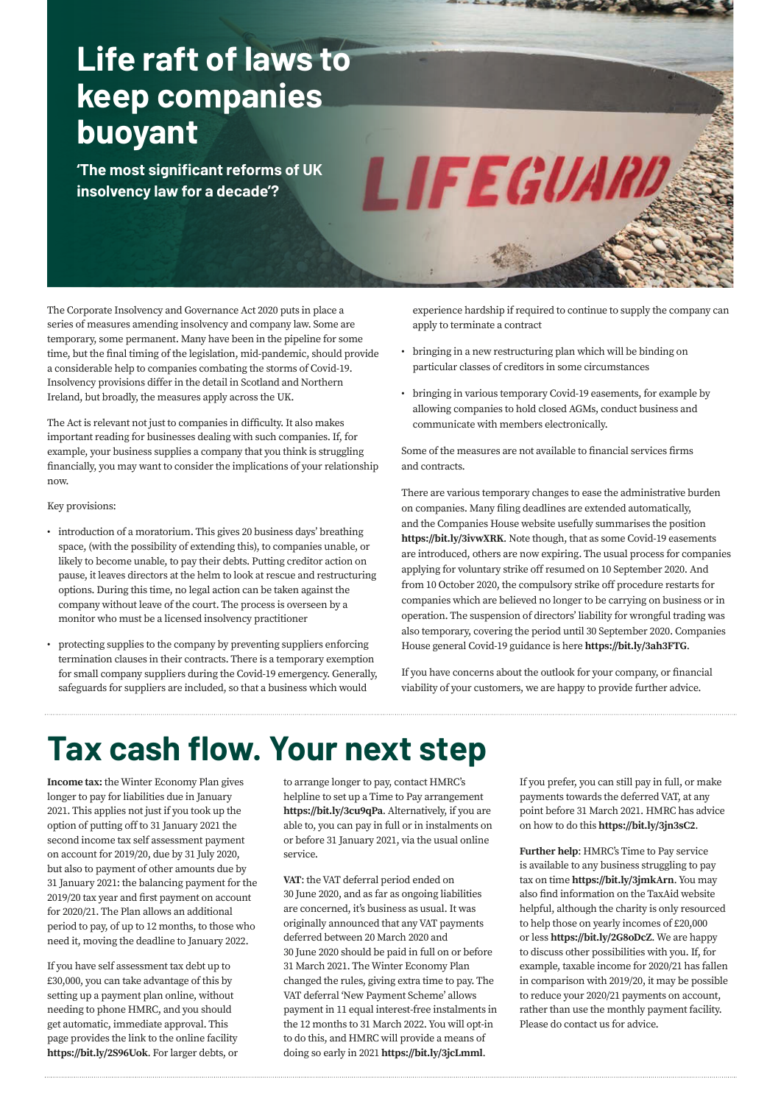## **Life raft of laws to keep companies buoyant**

**'The most significant reforms of UK insolvency law for a decade'?** 

The Corporate Insolvency and Governance Act 2020 puts in place a series of measures amending insolvency and company law. Some are temporary, some permanent. Many have been in the pipeline for some time, but the final timing of the legislation, mid-pandemic, should provide a considerable help to companies combating the storms of Covid-19. Insolvency provisions differ in the detail in Scotland and Northern Ireland, but broadly, the measures apply across the UK.

The Act is relevant not just to companies in difficulty. It also makes important reading for businesses dealing with such companies. If, for example, your business supplies a company that you think is struggling financially, you may want to consider the implications of your relationship now.

#### Key provisions:

- introduction of a moratorium. This gives 20 business days' breathing space, (with the possibility of extending this), to companies unable, or likely to become unable, to pay their debts. Putting creditor action on pause, it leaves directors at the helm to look at rescue and restructuring options. During this time, no legal action can be taken against the company without leave of the court. The process is overseen by a monitor who must be a licensed insolvency practitioner
- protecting supplies to the company by preventing suppliers enforcing termination clauses in their contracts. There is a temporary exemption for small company suppliers during the Covid-19 emergency. Generally, safeguards for suppliers are included, so that a business which would

experience hardship if required to continue to supply the company can apply to terminate a contract

• bringing in a new restructuring plan which will be binding on particular classes of creditors in some circumstances

LIFEGUARI

• bringing in various temporary Covid-19 easements, for example by allowing companies to hold closed AGMs, conduct business and communicate with members electronically.

Some of the measures are not available to financial services firms and contracts.

There are various temporary changes to ease the administrative burden on companies. Many filing deadlines are extended automatically, and the Companies House website usefully summarises the position **[https://bit.ly/3ivwXRK](https://www.gov.uk/government/news/corporate-insolvency-and-governance-bill-receives-royal-assent)**. Note though, that as some Covid-19 easements are introduced, others are now expiring. The usual process for companies applying for voluntary strike off resumed on 10 September 2020. And from 10 October 2020, the compulsory strike off procedure restarts for companies which are believed no longer to be carrying on business or in operation. The suspension of directors' liability for wrongful trading was also temporary, covering the period until 30 September 2020. Companies House general Covid-19 guidance is here **[https://bit.ly/3ah3FTG](https://www.gov.uk/guidance/coronavirus-guidance-for-companies-house-customers-employees-and-suppliers?utm_source=5b36f040-1e93-4798-ad2d-29b38b4d81b9&utm_medium=email&utm_campaign=govuk-notifications&utm_content=immediate)**.

If you have concerns about the outlook for your company, or financial viability of your customers, we are happy to provide further advice.

### **Tax cash flow. Your next step**

**Income tax:** the Winter Economy Plan gives longer to pay for liabilities due in January 2021. This applies not just if you took up the option of putting off to 31 January 2021 the second income tax self assessment payment on account for 2019/20, due by 31 July 2020, but also to payment of other amounts due by 31 January 2021: the balancing payment for the 2019/20 tax year and first payment on account for 2020/21. The Plan allows an additional period to pay, of up to 12 months, to those who need it, moving the deadline to January 2022.

If you have self assessment tax debt up to £30,000, you can take advantage of this by setting up a payment plan online, without needing to phone HMRC, and you should get automatic, immediate approval. This page provides the link to the online facility **[https://bit.ly/2S96Uok](https://www.gov.uk/difficulties-paying-hmrc)**. For larger debts, or to arrange longer to pay, contact HMRC's helpline to set up a Time to Pay arrangement **[https://bit.ly/3cu9qPa](https://www.gov.uk/government/organisations/hm-revenue-customs/contact/coronavirus-covid-19-helpline)**. Alternatively, if you are able to, you can pay in full or in instalments on or before 31 January 2021, via the usual online service.

**VAT**: the VAT deferral period ended on 30 June 2020, and as far as ongoing liabilities are concerned, it's business as usual. It was originally announced that any VAT payments deferred between 20 March 2020 and 30 June 2020 should be paid in full on or before 31 March 2021. The Winter Economy Plan changed the rules, giving extra time to pay. The VAT deferral 'New Payment Scheme' allows payment in 11 equal interest-free instalments in the 12 months to 31 March 2022. You will opt-in to do this, and HMRC will provide a means of doing so early in 2021 **[https://bit.ly/3jcLmml](https://www.gov.uk/guidance/deferral-of-vat-payments-due-to-coronavirus-covid-19)**.

If you prefer, you can still pay in full, or make payments towards the deferred VAT, at any point before 31 March 2021. HMRC has advice on how to do this **[https://bit.ly/3jn3sC2](https://www.gov.uk/pay-vat)**.

**Further help**: HMRC's Time to Pay service is available to any business struggling to pay tax on time **[https://bit.ly/3jmkArn](https://www.gov.uk/difficulties-paying-hmrc)**. You may also find information on the TaxAid website helpful, although the charity is only resourced to help those on yearly incomes of £20,000 or less **[https://bit.ly/2G8oDcZ](https://taxaid.org.uk/guides/information/struggling-to-cope/dealing-with-tax-debt)**. We are happy to discuss other possibilities with you. If, for example, taxable income for 2020/21 has fallen in comparison with 2019/20, it may be possible to reduce your 2020/21 payments on account, rather than use the monthly payment facility. Please do contact us for advice.